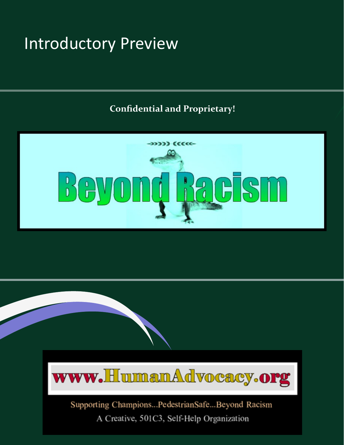# Introductory Preview

#### **Confidential and Proprietary!**





Supporting Champions...PedestrianSafe...Beyond Racism A Creative, 501C3, Self-Help Organization

Confidential and Proprietary! Copyright 2022, Human Advocacy, Inc.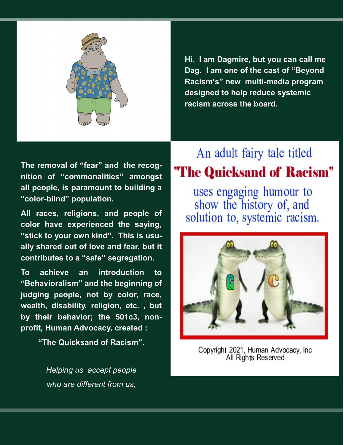

**Hi. I am Dagmire, but you can call me Dag. I am one of the cast of "Beyond Racism's" new multi-media program designed to help reduce systemic racism across the board.** 

**The removal of "fear" and the recognition of "commonalities" amongst all people, is paramount to building a "color-blind" population.**

**All races, religions, and people of color have experienced the saying, "stick to your own kind". This is usually shared out of love and fear, but it contributes to a "safe" segregation.**

**To achieve an introduction to "Behavioralism" and the beginning of judging people, not by color, race, wealth, disability, religion, etc. , but by their behavior; the 501c3, nonprofit, Human Advocacy, created :** 

 **"The Quicksand of Racism".**

*Helping us accept people who are different from us,* 

### An adult fairy tale titled "The Quicksand of Racism"

uses engaging humour to show the history of, and solution to, systemic racism.



Copyright 2021, Human Advocacy, Inc. All Rights Reserved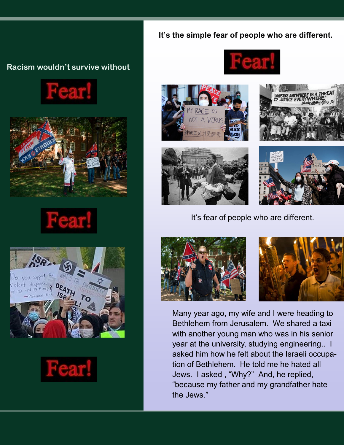#### **It's the simple fear of people who are different.**

#### **Racism wouldn't survive without**









нея











It's fear of people who are different.





Many year ago, my wife and I were heading to Bethlehem from Jerusalem. We shared a taxi with another young man who was in his senior year at the university, studying engineering.. I asked him how he felt about the Israeli occupation of Bethlehem. He told me he hated all Jews. I asked , "Why?" And, he replied, "because my father and my grandfather hate the Jews."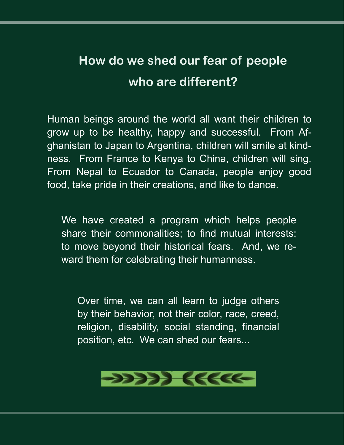## **How do we shed our fear of people who are different?**

Human beings around the world all want their children to grow up to be healthy, happy and successful. From Afghanistan to Japan to Argentina, children will smile at kindness. From France to Kenya to China, children will sing. From Nepal to Ecuador to Canada, people enjoy good food, take pride in their creations, and like to dance.

We have created a program which helps people share their commonalities; to find mutual interests; to move beyond their historical fears. And, we reward them for celebrating their humanness.

Over time, we can all learn to judge others by their behavior, not their color, race, creed, religion, disability, social standing, financial position, etc. We can shed our fears...